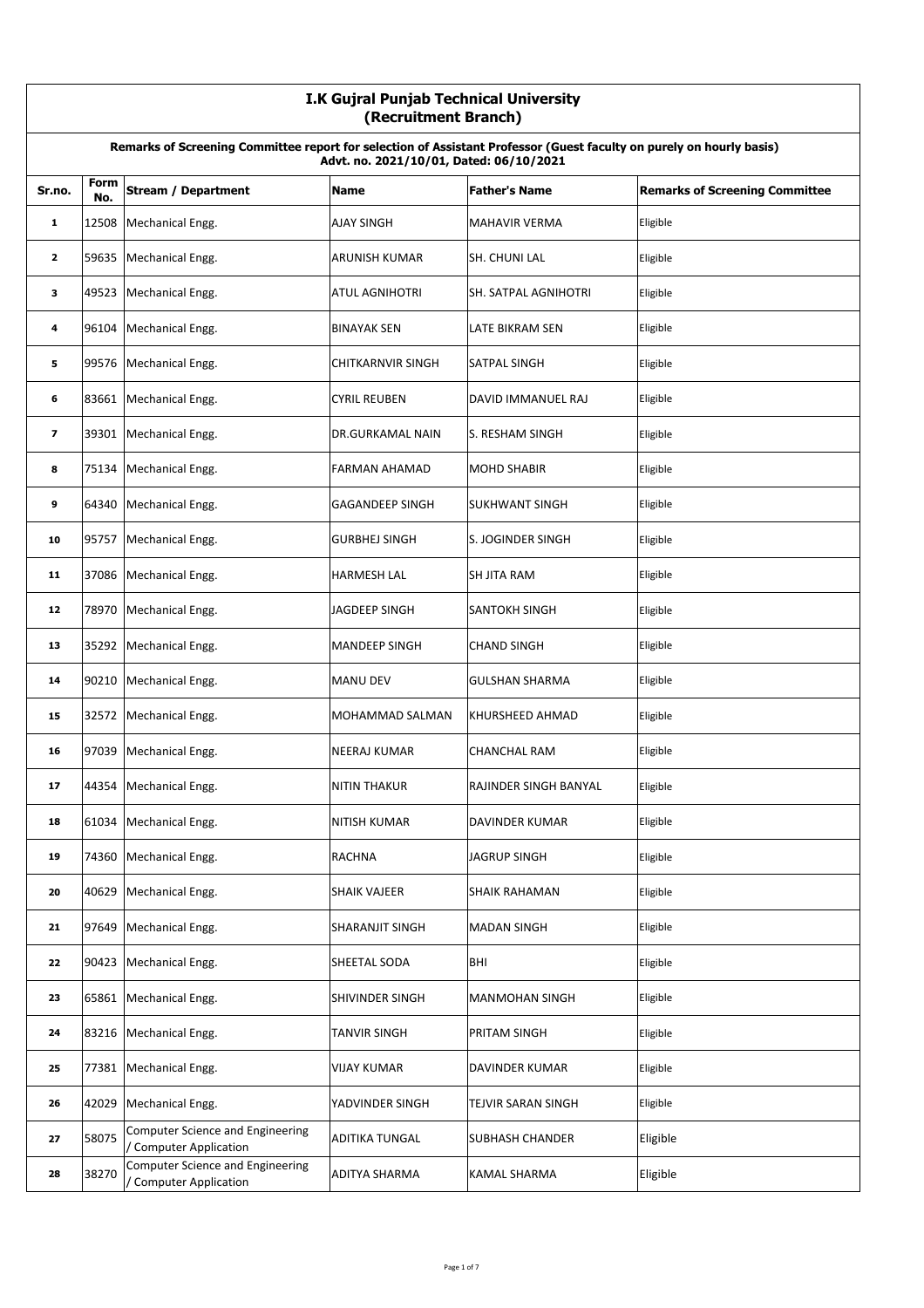|                         | I.K Gujral Punjab Technical University<br>(Recruitment Branch)                                                                                                  |                                                                   |                          |                             |                                       |  |
|-------------------------|-----------------------------------------------------------------------------------------------------------------------------------------------------------------|-------------------------------------------------------------------|--------------------------|-----------------------------|---------------------------------------|--|
|                         | Remarks of Screening Committee report for selection of Assistant Professor (Guest faculty on purely on hourly basis)<br>Advt. no. 2021/10/01, Dated: 06/10/2021 |                                                                   |                          |                             |                                       |  |
| Sr.no.                  | Form<br>No.                                                                                                                                                     | <b>Stream / Department</b>                                        | <b>Name</b>              | <b>Father's Name</b>        | <b>Remarks of Screening Committee</b> |  |
| 1                       | 12508                                                                                                                                                           | Mechanical Engg.                                                  | <b>AJAY SINGH</b>        | <b>MAHAVIR VERMA</b>        | Eligible                              |  |
| $\mathbf{z}$            |                                                                                                                                                                 | 59635 Mechanical Engg.                                            | <b>ARUNISH KUMAR</b>     | SH. CHUNI LAL               | Eligible                              |  |
| 3                       | 49523                                                                                                                                                           | Mechanical Engg.                                                  | <b>ATUL AGNIHOTRI</b>    | <b>SH. SATPAL AGNIHOTRI</b> | Eligible                              |  |
| 4                       | 96104                                                                                                                                                           | Mechanical Engg.                                                  | <b>BINAYAK SEN</b>       | <b>LATE BIKRAM SEN</b>      | Eligible                              |  |
| 5                       | 99576                                                                                                                                                           | Mechanical Engg.                                                  | <b>CHITKARNVIR SINGH</b> | <b>SATPAL SINGH</b>         | Eligible                              |  |
| 6                       |                                                                                                                                                                 | 83661 Mechanical Engg.                                            | <b>CYRIL REUBEN</b>      | DAVID IMMANUEL RAJ          | Eligible                              |  |
| $\overline{\mathbf{z}}$ |                                                                                                                                                                 | 39301 Mechanical Engg.                                            | DR.GURKAMAL NAIN         | S. RESHAM SINGH             | Eligible                              |  |
| 8                       | 75134                                                                                                                                                           | Mechanical Engg.                                                  | FARMAN AHAMAD            | <b>MOHD SHABIR</b>          | Eligible                              |  |
| 9                       | 64340                                                                                                                                                           | Mechanical Engg.                                                  | <b>GAGANDEEP SINGH</b>   | <b>SUKHWANT SINGH</b>       | Eligible                              |  |
| 10                      | 95757                                                                                                                                                           | Mechanical Engg.                                                  | <b>GURBHEJ SINGH</b>     | S. JOGINDER SINGH           | Eligible                              |  |
| 11                      |                                                                                                                                                                 | 37086 Mechanical Engg.                                            | <b>HARMESH LAL</b>       | <b>SH JITA RAM</b>          | Eligible                              |  |
| 12                      | 78970                                                                                                                                                           | Mechanical Engg.                                                  | <b>JAGDEEP SINGH</b>     | <b>SANTOKH SINGH</b>        | Eligible                              |  |
| 13                      | 35292                                                                                                                                                           | Mechanical Engg.                                                  | <b>MANDEEP SINGH</b>     | <b>CHAND SINGH</b>          | Eligible                              |  |
| 14                      | 90210                                                                                                                                                           | Mechanical Engg.                                                  | <b>MANU DEV</b>          | <b>GULSHAN SHARMA</b>       | Eligible                              |  |
| 15                      |                                                                                                                                                                 | 32572 Mechanical Engg.                                            | MOHAMMAD SALMAN          | <b>KHURSHEED AHMAD</b>      | Eligible                              |  |
| 16                      | 97039                                                                                                                                                           | Mechanical Engg.                                                  | <b>NEERAJ KUMAR</b>      | <b>CHANCHAL RAM</b>         | Eligible                              |  |
| 17                      |                                                                                                                                                                 | 44354 Mechanical Engg.                                            | <b>NITIN THAKUR</b>      | RAJINDER SINGH BANYAL       | Eligible                              |  |
| 18                      | 61034                                                                                                                                                           | Mechanical Engg.                                                  | <b>NITISH KUMAR</b>      | DAVINDER KUMAR              | Eligible                              |  |
| 19                      | 74360                                                                                                                                                           | Mechanical Engg.                                                  | RACHNA                   | <b>JAGRUP SINGH</b>         | Eligible                              |  |
| 20                      | 40629                                                                                                                                                           | Mechanical Engg.                                                  | <b>SHAIK VAJEER</b>      | <b>SHAIK RAHAMAN</b>        | Eligible                              |  |
| 21                      | 97649                                                                                                                                                           | Mechanical Engg.                                                  | SHARANJIT SINGH          | <b>MADAN SINGH</b>          | Eligible                              |  |
| 22                      | 90423                                                                                                                                                           | Mechanical Engg.                                                  | SHEETAL SODA             | BHI                         | Eligible                              |  |
| 23                      | 65861                                                                                                                                                           | Mechanical Engg.                                                  | SHIVINDER SINGH          | <b>MANMOHAN SINGH</b>       | Eligible                              |  |
| 24                      |                                                                                                                                                                 | 83216 Mechanical Engg.                                            | TANVIR SINGH             | PRITAM SINGH                | Eligible                              |  |
| 25                      |                                                                                                                                                                 | 77381 Mechanical Engg.                                            | <b>VIJAY KUMAR</b>       | DAVINDER KUMAR              | Eligible                              |  |
| 26                      | 42029                                                                                                                                                           | Mechanical Engg.                                                  | YADVINDER SINGH          | TEJVIR SARAN SINGH          | Eligible                              |  |
| 27                      | 58075                                                                                                                                                           | <b>Computer Science and Engineering</b><br>/ Computer Application | ADITIKA TUNGAL           | <b>SUBHASH CHANDER</b>      | Eligible                              |  |
| 28                      | 38270                                                                                                                                                           | Computer Science and Engineering<br>/ Computer Application        | ADITYA SHARMA            | KAMAL SHARMA                | Eligible                              |  |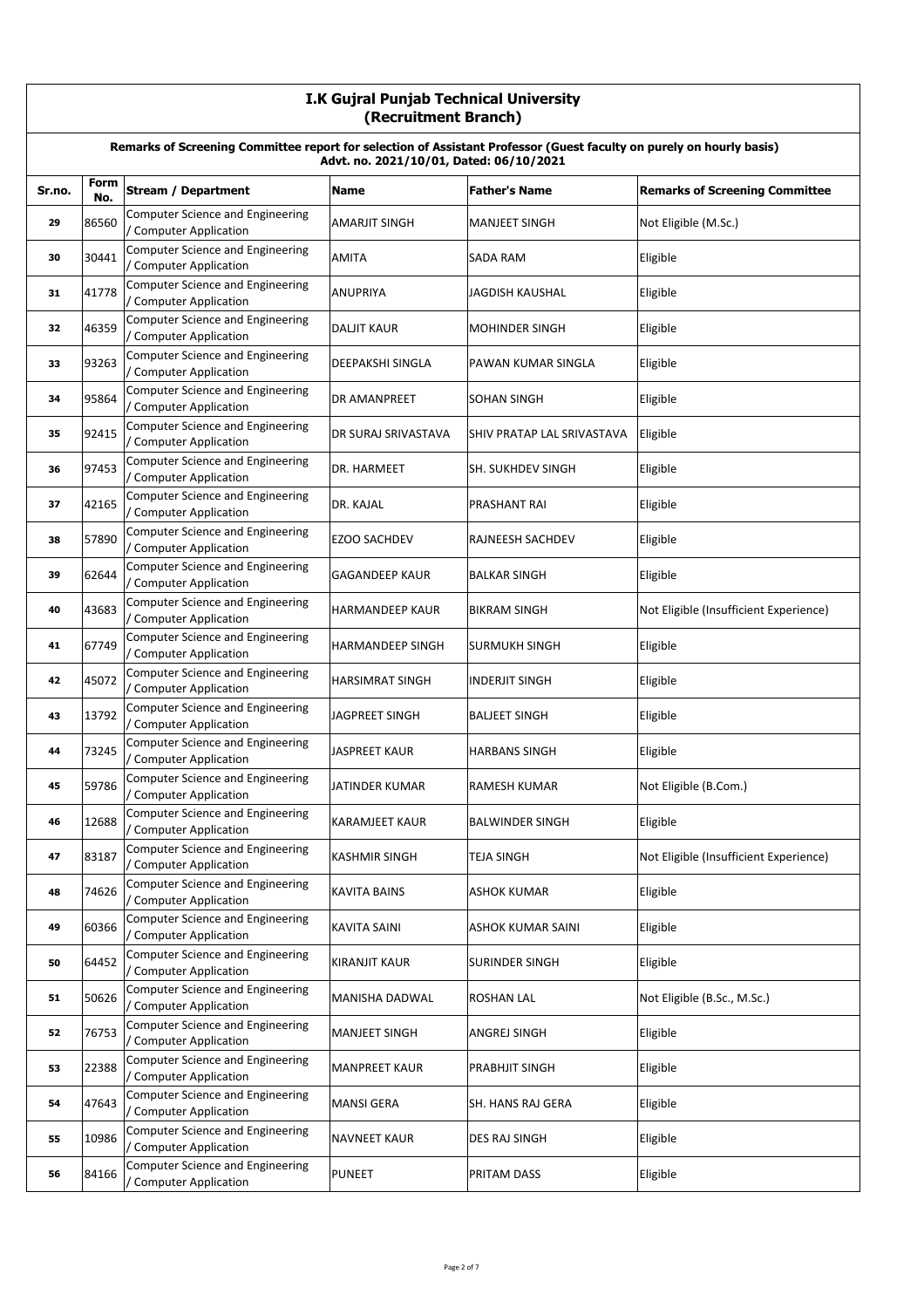|        | I.K Gujral Punjab Technical University<br>(Recruitment Branch)                                                                                                  |                                                                   |                        |                            |                                        |  |  |
|--------|-----------------------------------------------------------------------------------------------------------------------------------------------------------------|-------------------------------------------------------------------|------------------------|----------------------------|----------------------------------------|--|--|
|        | Remarks of Screening Committee report for selection of Assistant Professor (Guest faculty on purely on hourly basis)<br>Advt. no. 2021/10/01, Dated: 06/10/2021 |                                                                   |                        |                            |                                        |  |  |
| Sr.no. | Form<br>No.                                                                                                                                                     | <b>Stream / Department</b>                                        | Name                   | <b>Father's Name</b>       | <b>Remarks of Screening Committee</b>  |  |  |
| 29     | 86560                                                                                                                                                           | <b>Computer Science and Engineering</b><br>Computer Application   | <b>AMARJIT SINGH</b>   | MANJEET SINGH              | Not Eligible (M.Sc.)                   |  |  |
| 30     | 30441                                                                                                                                                           | Computer Science and Engineering<br>/ Computer Application        | <b>AMITA</b>           | SADA RAM                   | Eligible                               |  |  |
| 31     | 41778                                                                                                                                                           | Computer Science and Engineering<br>Computer Application          | <b>ANUPRIYA</b>        | JAGDISH KAUSHAL            | Eligible                               |  |  |
| 32     | 46359                                                                                                                                                           | Computer Science and Engineering<br>/ Computer Application        | <b>DALJIT KAUR</b>     | <b>MOHINDER SINGH</b>      | Eligible                               |  |  |
| 33     | 93263                                                                                                                                                           | Computer Science and Engineering<br>/ Computer Application        | DEEPAKSHI SINGLA       | PAWAN KUMAR SINGLA         | Eligible                               |  |  |
| 34     | 95864                                                                                                                                                           | <b>Computer Science and Engineering</b><br>/ Computer Application | <b>DR AMANPREET</b>    | <b>SOHAN SINGH</b>         | Eligible                               |  |  |
| 35     | 92415                                                                                                                                                           | Computer Science and Engineering<br>/ Computer Application        | DR SURAJ SRIVASTAVA    | SHIV PRATAP LAL SRIVASTAVA | Eligible                               |  |  |
| 36     | 97453                                                                                                                                                           | <b>Computer Science and Engineering</b><br>Computer Application   | DR. HARMEET            | SH. SUKHDEV SINGH          | Eligible                               |  |  |
| 37     | 42165                                                                                                                                                           | <b>Computer Science and Engineering</b><br>/ Computer Application | DR. KAJAL              | <b>PRASHANT RAI</b>        | Eligible                               |  |  |
| 38     | 57890                                                                                                                                                           | <b>Computer Science and Engineering</b><br>/ Computer Application | <b>EZOO SACHDEV</b>    | RAJNEESH SACHDEV           | Eligible                               |  |  |
| 39     | 62644                                                                                                                                                           | <b>Computer Science and Engineering</b><br>/ Computer Application | <b>GAGANDEEP KAUR</b>  | <b>BALKAR SINGH</b>        | Eligible                               |  |  |
| 40     | 43683                                                                                                                                                           | Computer Science and Engineering<br>/ Computer Application        | HARMANDEEP KAUR        | <b>BIKRAM SINGH</b>        | Not Eligible (Insufficient Experience) |  |  |
| 41     | 67749                                                                                                                                                           | <b>Computer Science and Engineering</b><br>/ Computer Application | HARMANDEEP SINGH       | SURMUKH SINGH              | Eligible                               |  |  |
| 42     | 45072                                                                                                                                                           | <b>Computer Science and Engineering</b><br>/ Computer Application | <b>HARSIMRAT SINGH</b> | <b>INDERJIT SINGH</b>      | Eligible                               |  |  |
| 43     | 13792                                                                                                                                                           | <b>Computer Science and Engineering</b><br>/ Computer Application | <b>JAGPREET SINGH</b>  | <b>BALJEET SINGH</b>       | Eligible                               |  |  |
| 44     | 73245                                                                                                                                                           | <b>Computer Science and Engineering</b><br>Computer Application   | JASPREET KAUR          | <b>HARBANS SINGH</b>       | Eligible                               |  |  |
| 45     | 59786                                                                                                                                                           | Computer Science and Engineering<br>/ Computer Application        | JATINDER KUMAR         | <b>RAMESH KUMAR</b>        | Not Eligible (B.Com.)                  |  |  |
| 46     | 12688                                                                                                                                                           | <b>Computer Science and Engineering</b><br>/ Computer Application | KARAMJEET KAUR         | <b>BALWINDER SINGH</b>     | Eligible                               |  |  |
| 47     | 83187                                                                                                                                                           | Computer Science and Engineering<br>/ Computer Application        | <b>KASHMIR SINGH</b>   | <b>TEJA SINGH</b>          | Not Eligible (Insufficient Experience) |  |  |
| 48     | 74626                                                                                                                                                           | <b>Computer Science and Engineering</b><br>/ Computer Application | <b>KAVITA BAINS</b>    | <b>ASHOK KUMAR</b>         | Eligible                               |  |  |
| 49     | 60366                                                                                                                                                           | Computer Science and Engineering<br>/ Computer Application        | KAVITA SAINI           | ASHOK KUMAR SAINI          | Eligible                               |  |  |
| 50     | 64452                                                                                                                                                           | Computer Science and Engineering<br>/ Computer Application        | <b>KIRANJIT KAUR</b>   | SURINDER SINGH             | Eligible                               |  |  |
| 51     | 50626                                                                                                                                                           | <b>Computer Science and Engineering</b><br>/ Computer Application | MANISHA DADWAL         | <b>ROSHAN LAL</b>          | Not Eligible (B.Sc., M.Sc.)            |  |  |
| 52     | 76753                                                                                                                                                           | Computer Science and Engineering<br>/ Computer Application        | <b>MANJEET SINGH</b>   | ANGREJ SINGH               | Eligible                               |  |  |
| 53     | 22388                                                                                                                                                           | Computer Science and Engineering<br>/ Computer Application        | <b>MANPREET KAUR</b>   | PRABHJIT SINGH             | Eligible                               |  |  |
| 54     | 47643                                                                                                                                                           | Computer Science and Engineering<br>Computer Application          | MANSI GERA             | SH. HANS RAJ GERA          | Eligible                               |  |  |
| 55     | 10986                                                                                                                                                           | Computer Science and Engineering<br>/ Computer Application        | <b>NAVNEET KAUR</b>    | DES RAJ SINGH              | Eligible                               |  |  |
| 56     | 84166                                                                                                                                                           | Computer Science and Engineering<br>/ Computer Application        | <b>PUNEET</b>          | <b>PRITAM DASS</b>         | Eligible                               |  |  |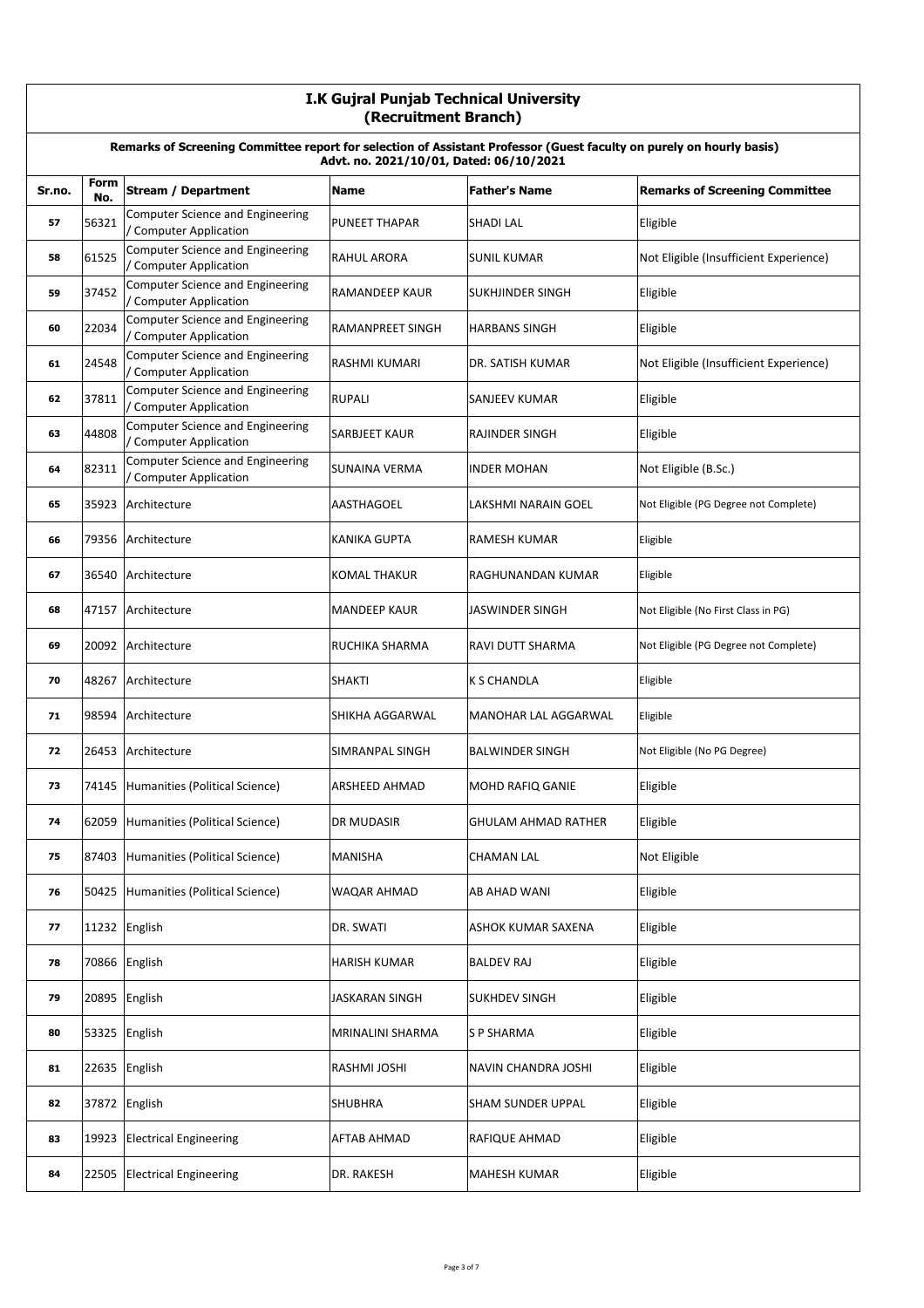|        | I.K Gujral Punjab Technical University<br>(Recruitment Branch)                                                                                                  |                                                                   |                      |                            |                                        |  |
|--------|-----------------------------------------------------------------------------------------------------------------------------------------------------------------|-------------------------------------------------------------------|----------------------|----------------------------|----------------------------------------|--|
|        | Remarks of Screening Committee report for selection of Assistant Professor (Guest faculty on purely on hourly basis)<br>Advt. no. 2021/10/01, Dated: 06/10/2021 |                                                                   |                      |                            |                                        |  |
| Sr.no. | Form<br>No.                                                                                                                                                     | <b>Stream / Department</b>                                        | <b>Name</b>          | <b>Father's Name</b>       | <b>Remarks of Screening Committee</b>  |  |
| 57     | 56321                                                                                                                                                           | Computer Science and Engineering<br>/ Computer Application        | <b>PUNEET THAPAR</b> | <b>SHADI LAL</b>           | Eligible                               |  |
| 58     | 61525                                                                                                                                                           | Computer Science and Engineering<br>/ Computer Application        | RAHUL ARORA          | <b>SUNIL KUMAR</b>         | Not Eligible (Insufficient Experience) |  |
| 59     | 37452                                                                                                                                                           | <b>Computer Science and Engineering</b><br>/ Computer Application | RAMANDEEP KAUR       | SUKHJINDER SINGH           | Eligible                               |  |
| 60     | 22034                                                                                                                                                           | <b>Computer Science and Engineering</b><br>/ Computer Application | RAMANPREET SINGH     | <b>HARBANS SINGH</b>       | Eligible                               |  |
| 61     | 24548                                                                                                                                                           | Computer Science and Engineering<br>/ Computer Application        | RASHMI KUMARI        | <b>DR. SATISH KUMAR</b>    | Not Eligible (Insufficient Experience) |  |
| 62     | 37811                                                                                                                                                           | <b>Computer Science and Engineering</b><br>/ Computer Application | <b>RUPALI</b>        | <b>SANJEEV KUMAR</b>       | Eligible                               |  |
| 63     | 44808                                                                                                                                                           | Computer Science and Engineering<br>/ Computer Application        | <b>SARBJEET KAUR</b> | <b>RAJINDER SINGH</b>      | Eligible                               |  |
| 64     | 82311                                                                                                                                                           | <b>Computer Science and Engineering</b><br>/ Computer Application | <b>SUNAINA VERMA</b> | <b>INDER MOHAN</b>         | Not Eligible (B.Sc.)                   |  |
| 65     | 35923                                                                                                                                                           | Architecture                                                      | <b>AASTHAGOEL</b>    | <b>LAKSHMI NARAIN GOEL</b> | Not Eligible (PG Degree not Complete)  |  |
| 66     | 79356                                                                                                                                                           | Architecture                                                      | <b>KANIKA GUPTA</b>  | <b>RAMESH KUMAR</b>        | Eligible                               |  |
| 67     | 36540                                                                                                                                                           | Architecture                                                      | KOMAL THAKUR         | RAGHUNANDAN KUMAR          | Eligible                               |  |
| 68     |                                                                                                                                                                 | 47157 Architecture                                                | <b>MANDEEP KAUR</b>  | <b>JASWINDER SINGH</b>     | Not Eligible (No First Class in PG)    |  |
| 69     |                                                                                                                                                                 | 20092 Architecture                                                | RUCHIKA SHARMA       | <b>RAVI DUTT SHARMA</b>    | Not Eligible (PG Degree not Complete)  |  |
| 70     | 48267                                                                                                                                                           | Architecture                                                      | <b>SHAKTI</b>        | <b>K S CHANDLA</b>         | Eligible                               |  |
| 71     | 98594                                                                                                                                                           | Architecture                                                      | SHIKHA AGGARWAL      | MANOHAR LAL AGGARWAL       | Eligible                               |  |
| 72     | 26453                                                                                                                                                           | Architecture                                                      | SIMRANPAL SINGH      | <b>BALWINDER SINGH</b>     | Not Eligible (No PG Degree)            |  |
| 73     |                                                                                                                                                                 | 74145 Humanities (Political Science)                              | ARSHEED AHMAD        | MOHD RAFIQ GANIE           | Eligible                               |  |
| 74     | 62059                                                                                                                                                           | Humanities (Political Science)                                    | DR MUDASIR           | <b>GHULAM AHMAD RATHER</b> | Eligible                               |  |
| 75     | 87403                                                                                                                                                           | Humanities (Political Science)                                    | MANISHA              | <b>CHAMAN LAL</b>          | Not Eligible                           |  |
| 76     | 50425                                                                                                                                                           | Humanities (Political Science)                                    | WAQAR AHMAD          | AB AHAD WANI               | Eligible                               |  |
| 77     |                                                                                                                                                                 | 11232 English                                                     | DR. SWATI            | ASHOK KUMAR SAXENA         | Eligible                               |  |
| 78     |                                                                                                                                                                 | 70866 English                                                     | HARISH KUMAR         | <b>BALDEV RAJ</b>          | Eligible                               |  |
| 79     | 20895                                                                                                                                                           | English                                                           | JASKARAN SINGH       | <b>SUKHDEV SINGH</b>       | Eligible                               |  |
| 80     | 53325                                                                                                                                                           | English                                                           | MRINALINI SHARMA     | <b>S P SHARMA</b>          | Eligible                               |  |
| 81     | 22635                                                                                                                                                           | English                                                           | RASHMI JOSHI         | NAVIN CHANDRA JOSHI        | Eligible                               |  |
| 82     |                                                                                                                                                                 | 37872 English                                                     | <b>SHUBHRA</b>       | SHAM SUNDER UPPAL          | Eligible                               |  |
| 83     | 19923                                                                                                                                                           | <b>Electrical Engineering</b>                                     | AFTAB AHMAD          | <b>RAFIQUE AHMAD</b>       | Eligible                               |  |
| 84     | 22505                                                                                                                                                           | <b>Electrical Engineering</b>                                     | DR. RAKESH           | MAHESH KUMAR               | Eligible                               |  |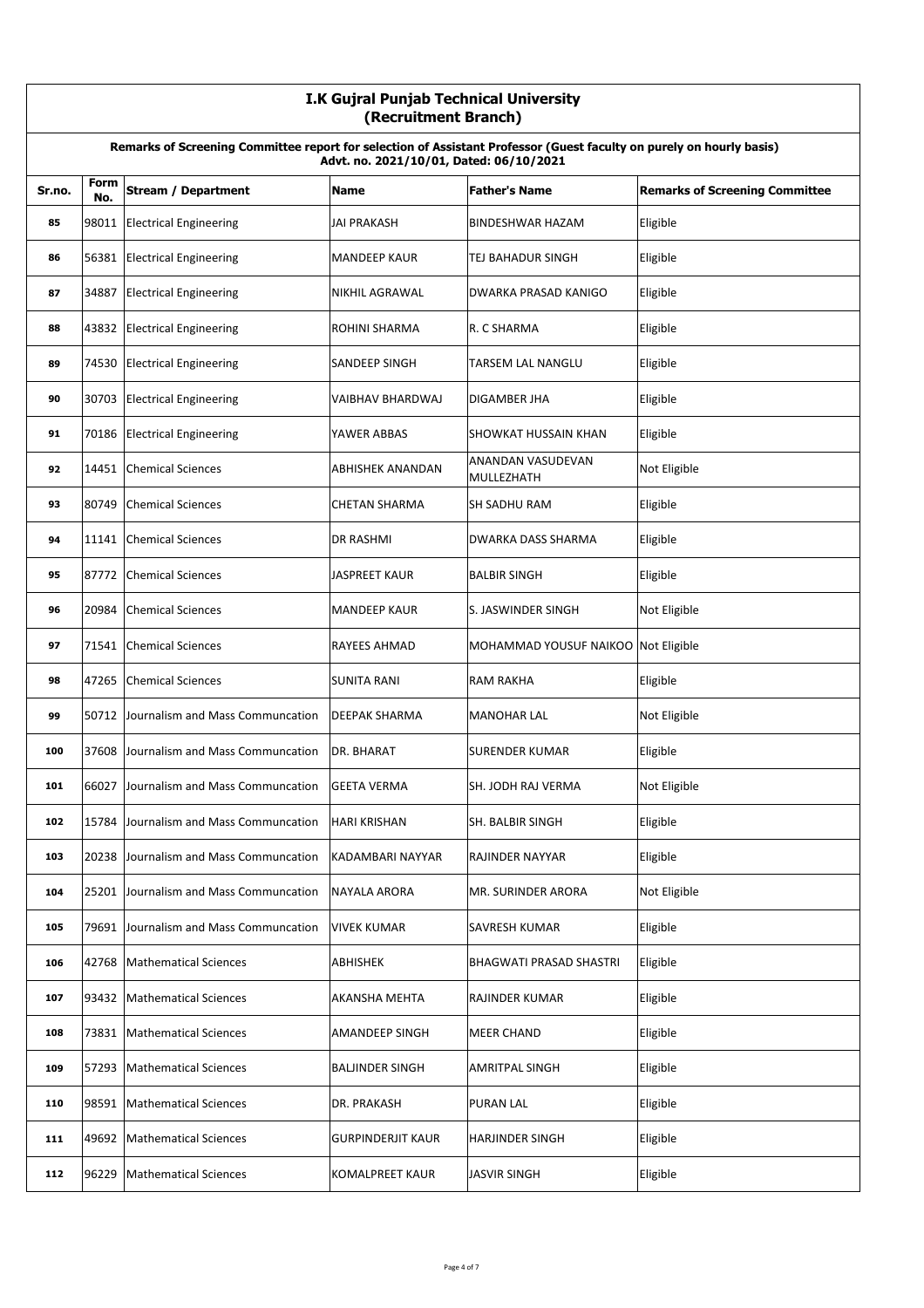|        | I.K Gujral Punjab Technical University<br>(Recruitment Branch)                                                                                                  |                                        |                        |                                        |                                       |  |  |
|--------|-----------------------------------------------------------------------------------------------------------------------------------------------------------------|----------------------------------------|------------------------|----------------------------------------|---------------------------------------|--|--|
|        | Remarks of Screening Committee report for selection of Assistant Professor (Guest faculty on purely on hourly basis)<br>Advt. no. 2021/10/01, Dated: 06/10/2021 |                                        |                        |                                        |                                       |  |  |
| Sr.no. | Form<br>No.                                                                                                                                                     | <b>Stream / Department</b>             | <b>Name</b>            | <b>Father's Name</b>                   | <b>Remarks of Screening Committee</b> |  |  |
| 85     | 98011                                                                                                                                                           | <b>Electrical Engineering</b>          | <b>JAI PRAKASH</b>     | BINDESHWAR HAZAM                       | Eligible                              |  |  |
| 86     |                                                                                                                                                                 | 56381 Electrical Engineering           | <b>MANDEEP KAUR</b>    | TEJ BAHADUR SINGH                      | Eligible                              |  |  |
| 87     | 34887                                                                                                                                                           | <b>Electrical Engineering</b>          | <b>NIKHIL AGRAWAL</b>  | DWARKA PRASAD KANIGO                   | Eligible                              |  |  |
| 88     | 43832                                                                                                                                                           | <b>Electrical Engineering</b>          | ROHINI SHARMA          | R. C SHARMA                            | Eligible                              |  |  |
| 89     | 74530                                                                                                                                                           | <b>Electrical Engineering</b>          | SANDEEP SINGH          | TARSEM LAL NANGLU                      | Eligible                              |  |  |
| 90     |                                                                                                                                                                 | 30703 Electrical Engineering           | VAIBHAV BHARDWAJ       | DIGAMBER JHA                           | Eligible                              |  |  |
| 91     | 70186                                                                                                                                                           | <b>Electrical Engineering</b>          | YAWER ABBAS            | <b>SHOWKAT HUSSAIN KHAN</b>            | Eligible                              |  |  |
| 92     | 14451                                                                                                                                                           | <b>Chemical Sciences</b>               | ABHISHEK ANANDAN       | <b>ANANDAN VASUDEVAN</b><br>MULLEZHATH | Not Eligible                          |  |  |
| 93     | 80749                                                                                                                                                           | <b>Chemical Sciences</b>               | <b>CHETAN SHARMA</b>   | <b>SH SADHU RAM</b>                    | Eligible                              |  |  |
| 94     | 11141                                                                                                                                                           | <b>Chemical Sciences</b>               | <b>DR RASHMI</b>       | DWARKA DASS SHARMA                     | Eligible                              |  |  |
| 95     | 87772                                                                                                                                                           | Chemical Sciences                      | JASPREET KAUR          | <b>BALBIR SINGH</b>                    | Eligible                              |  |  |
| 96     | 20984                                                                                                                                                           | <b>Chemical Sciences</b>               | <b>MANDEEP KAUR</b>    | S. JASWINDER SINGH                     | Not Eligible                          |  |  |
| 97     | 71541                                                                                                                                                           | <b>Chemical Sciences</b>               | <b>RAYEES AHMAD</b>    | MOHAMMAD YOUSUF NAIKOO Not Eligible    |                                       |  |  |
| 98     | 47265                                                                                                                                                           | <b>Chemical Sciences</b>               | <b>SUNITA RANI</b>     | <b>RAM RAKHA</b>                       | Eligible                              |  |  |
| 99     | 50712                                                                                                                                                           | Journalism and Mass Communcation       | <b>DEEPAK SHARMA</b>   | <b>MANOHAR LAL</b>                     | Not Eligible                          |  |  |
| 100    | 37608                                                                                                                                                           | Journalism and Mass Communcation       | DR. BHARAT             | <b>SURENDER KUMAR</b>                  | Eligible                              |  |  |
| 101    | 66027                                                                                                                                                           | Journalism and Mass Communcation       | <b>GEETA VERMA</b>     | SH. JODH RAJ VERMA                     | Not Eligible                          |  |  |
| 102    | 15784                                                                                                                                                           | Journalism and Mass Communcation       | <b>HARI KRISHAN</b>    | SH. BALBIR SINGH                       | Eligible                              |  |  |
| 103    | 20238                                                                                                                                                           | Journalism and Mass Communcation       | KADAMBARI NAYYAR       | RAJINDER NAYYAR                        | Eligible                              |  |  |
| 104    |                                                                                                                                                                 | 25201 Journalism and Mass Communcation | <b>NAYALA ARORA</b>    | MR. SURINDER ARORA                     | Not Eligible                          |  |  |
| 105    | 79691                                                                                                                                                           | Journalism and Mass Communcation       | <b>VIVEK KUMAR</b>     | SAVRESH KUMAR                          | Eligible                              |  |  |
| 106    | 42768                                                                                                                                                           | <b>Mathematical Sciences</b>           | ABHISHEK               | <b>BHAGWATI PRASAD SHASTRI</b>         | Eligible                              |  |  |
| 107    | 93432                                                                                                                                                           | <b>Mathematical Sciences</b>           | AKANSHA MEHTA          | RAJINDER KUMAR                         | Eligible                              |  |  |
| 108    | 73831                                                                                                                                                           | <b>Mathematical Sciences</b>           | AMANDEEP SINGH         | <b>MEER CHAND</b>                      | Eligible                              |  |  |
| 109    | 57293                                                                                                                                                           | <b>Mathematical Sciences</b>           | <b>BALJINDER SINGH</b> | AMRITPAL SINGH                         | Eligible                              |  |  |
| 110    | 98591                                                                                                                                                           | <b>Mathematical Sciences</b>           | DR. PRAKASH            | <b>PURAN LAL</b>                       | Eligible                              |  |  |
| 111    | 49692                                                                                                                                                           | <b>Mathematical Sciences</b>           | GURPINDERJIT KAUR      | <b>HARJINDER SINGH</b>                 | Eligible                              |  |  |
| 112    | 96229                                                                                                                                                           | <b>Mathematical Sciences</b>           | KOMALPREET KAUR        | <b>JASVIR SINGH</b>                    | Eligible                              |  |  |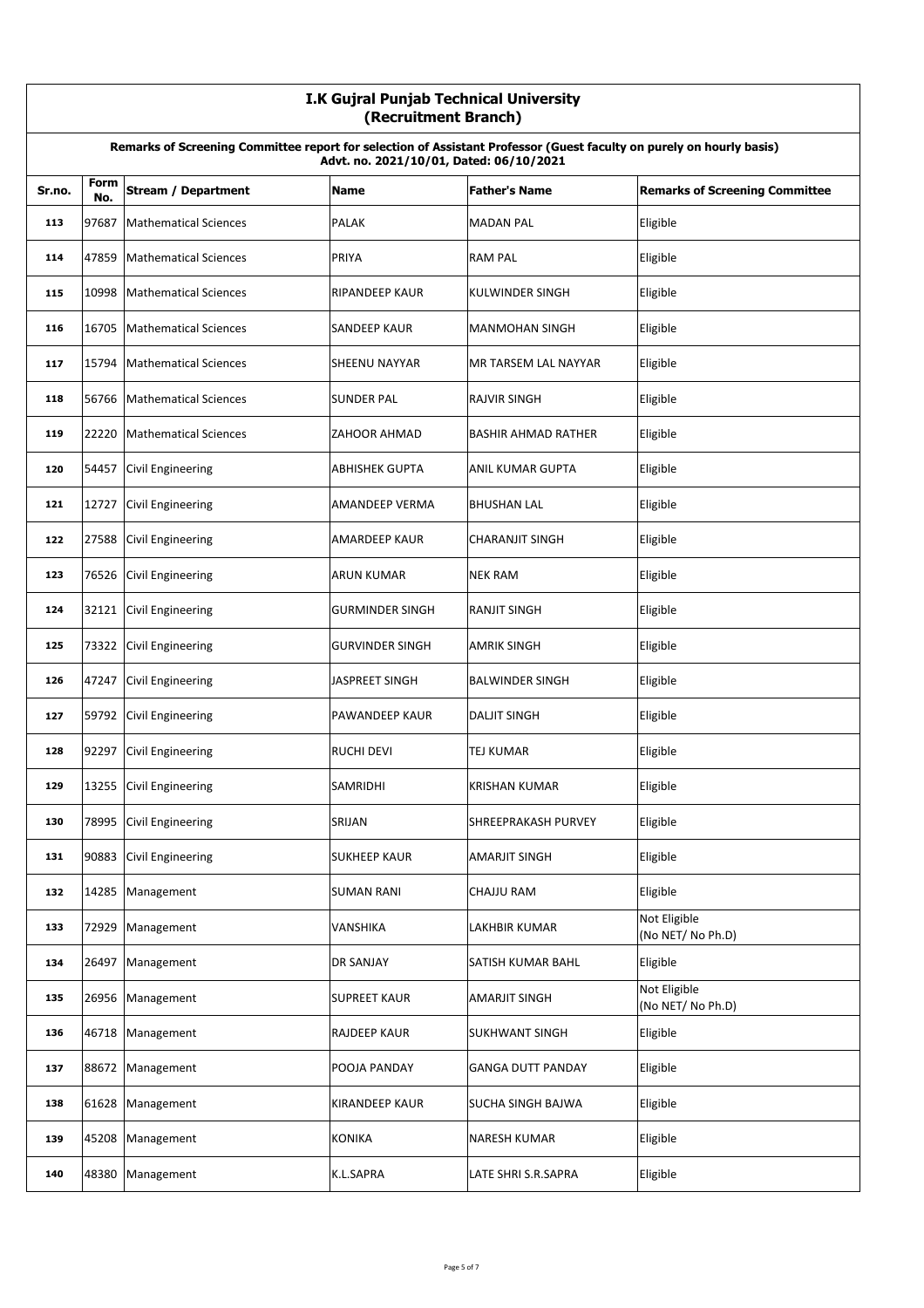|        | I.K Gujral Punjab Technical University<br>(Recruitment Branch)                                                                                                  |                              |                        |                            |                                       |  |
|--------|-----------------------------------------------------------------------------------------------------------------------------------------------------------------|------------------------------|------------------------|----------------------------|---------------------------------------|--|
|        | Remarks of Screening Committee report for selection of Assistant Professor (Guest faculty on purely on hourly basis)<br>Advt. no. 2021/10/01, Dated: 06/10/2021 |                              |                        |                            |                                       |  |
| Sr.no. | Form<br>No.                                                                                                                                                     | <b>Stream / Department</b>   | <b>Name</b>            | <b>Father's Name</b>       | <b>Remarks of Screening Committee</b> |  |
| 113    | 97687                                                                                                                                                           | <b>Mathematical Sciences</b> | <b>PALAK</b>           | <b>MADAN PAL</b>           | Eligible                              |  |
| 114    | 47859                                                                                                                                                           | <b>Mathematical Sciences</b> | PRIYA                  | <b>RAM PAL</b>             | Eligible                              |  |
| 115    | 10998                                                                                                                                                           | <b>Mathematical Sciences</b> | <b>RIPANDEEP KAUR</b>  | <b>KULWINDER SINGH</b>     | Eligible                              |  |
| 116    | 16705                                                                                                                                                           | <b>Mathematical Sciences</b> | <b>SANDEEP KAUR</b>    | <b>MANMOHAN SINGH</b>      | Eligible                              |  |
| 117    | 15794                                                                                                                                                           | <b>Mathematical Sciences</b> | SHEENU NAYYAR          | MR TARSEM LAL NAYYAR       | Eligible                              |  |
| 118    | 56766                                                                                                                                                           | <b>Mathematical Sciences</b> | <b>SUNDER PAL</b>      | <b>RAJVIR SINGH</b>        | Eligible                              |  |
| 119    | 22220                                                                                                                                                           | <b>Mathematical Sciences</b> | <b>ZAHOOR AHMAD</b>    | <b>BASHIR AHMAD RATHER</b> | Eligible                              |  |
| 120    | 54457                                                                                                                                                           | <b>Civil Engineering</b>     | <b>ABHISHEK GUPTA</b>  | ANIL KUMAR GUPTA           | Eligible                              |  |
| 121    | 12727                                                                                                                                                           | <b>Civil Engineering</b>     | AMANDEEP VERMA         | <b>BHUSHAN LAL</b>         | Eligible                              |  |
| 122    | 27588                                                                                                                                                           | <b>Civil Engineering</b>     | AMARDEEP KAUR          | <b>CHARANJIT SINGH</b>     | Eligible                              |  |
| 123    | 76526                                                                                                                                                           | Civil Engineering            | ARUN KUMAR             | <b>NEK RAM</b>             | Eligible                              |  |
| 124    | 32121                                                                                                                                                           | Civil Engineering            | <b>GURMINDER SINGH</b> | <b>RANJIT SINGH</b>        | Eligible                              |  |
| 125    | 73322                                                                                                                                                           | <b>Civil Engineering</b>     | <b>GURVINDER SINGH</b> | <b>AMRIK SINGH</b>         | Eligible                              |  |
| 126    | 47247                                                                                                                                                           | <b>Civil Engineering</b>     | JASPREET SINGH         | <b>BALWINDER SINGH</b>     | Eligible                              |  |
| 127    | 59792                                                                                                                                                           | <b>Civil Engineering</b>     | PAWANDEEP KAUR         | <b>DALJIT SINGH</b>        | Eligible                              |  |
| 128    | 92297                                                                                                                                                           | Civil Engineering            | <b>RUCHI DEVI</b>      | <b>TEJ KUMAR</b>           | Eligible                              |  |
| 129    |                                                                                                                                                                 | 13255 Civil Engineering      | <b>SAMRIDHI</b>        | <b>KRISHAN KUMAR</b>       | Eligible                              |  |
| 130    | 78995                                                                                                                                                           | Civil Engineering            | SRIJAN                 | SHREEPRAKASH PURVEY        | Eligible                              |  |
| 131    | 90883                                                                                                                                                           | <b>Civil Engineering</b>     | <b>SUKHEEP KAUR</b>    | AMARJIT SINGH              | Eligible                              |  |
| 132    |                                                                                                                                                                 | 14285 Management             | <b>SUMAN RANI</b>      | CHAJJU RAM                 | Eligible                              |  |
| 133    | 72929                                                                                                                                                           | Management                   | VANSHIKA               | LAKHBIR KUMAR              | Not Eligible<br>(No NET/ No Ph.D)     |  |
| 134    | 26497                                                                                                                                                           | Management                   | <b>DR SANJAY</b>       | SATISH KUMAR BAHL          | Eligible                              |  |
| 135    | 26956                                                                                                                                                           | Management                   | <b>SUPREET KAUR</b>    | AMARJIT SINGH              | Not Eligible<br>(No NET/ No Ph.D)     |  |
| 136    |                                                                                                                                                                 | 46718 Management             | RAJDEEP KAUR           | SUKHWANT SINGH             | Eligible                              |  |
| 137    |                                                                                                                                                                 | 88672 Management             | POOJA PANDAY           | <b>GANGA DUTT PANDAY</b>   | Eligible                              |  |
| 138    | 61628                                                                                                                                                           | Management                   | <b>KIRANDEEP KAUR</b>  | SUCHA SINGH BAJWA          | Eligible                              |  |
| 139    | 45208                                                                                                                                                           | Management                   | <b>KONIKA</b>          | NARESH KUMAR               | Eligible                              |  |
| 140    | 48380                                                                                                                                                           | Management                   | K.L.SAPRA              | LATE SHRI S.R.SAPRA        | Eligible                              |  |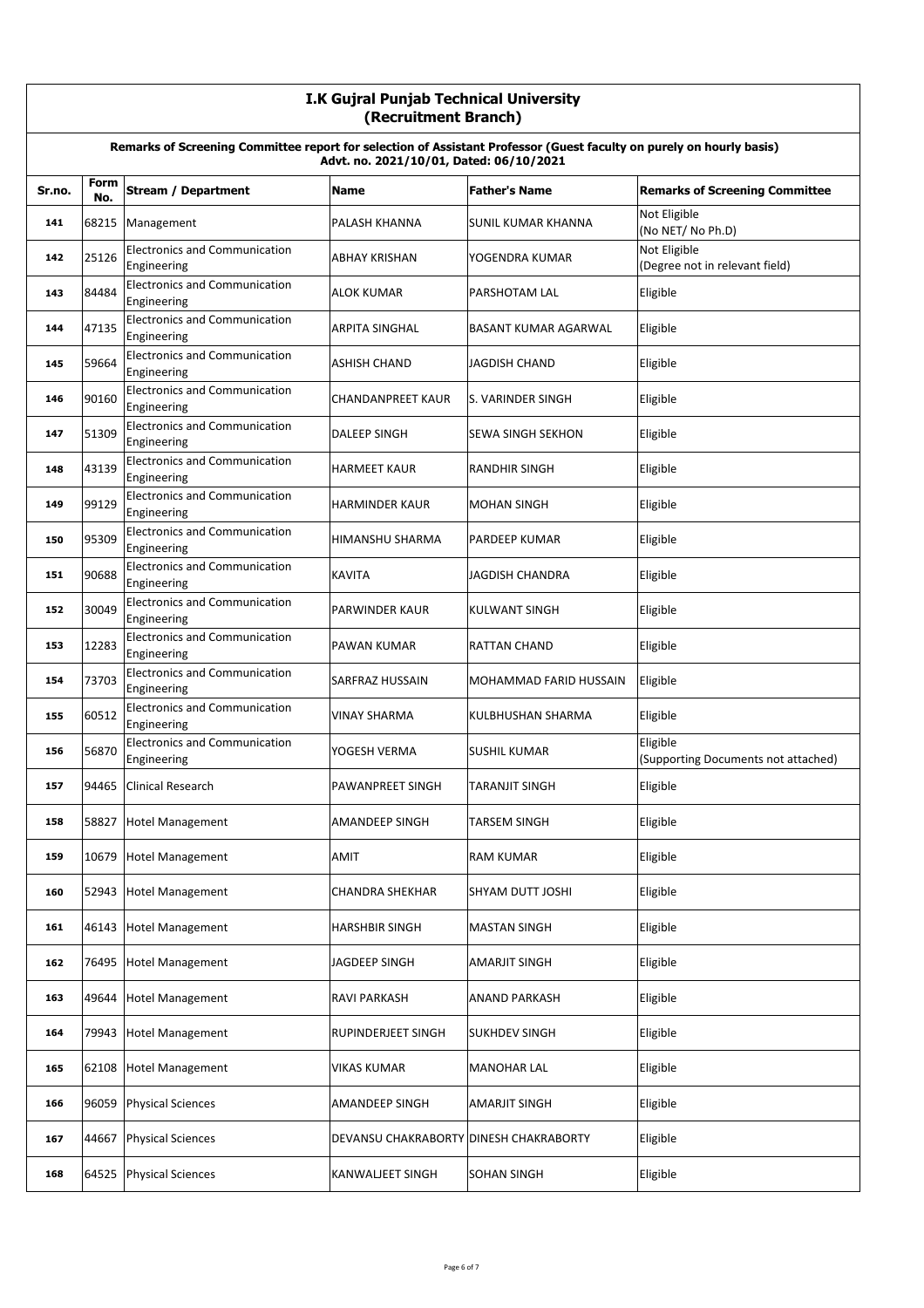|        | I.K Gujral Punjab Technical University<br>(Recruitment Branch)                                                                                                  |                                                     |                                        |                               |                                                 |  |  |
|--------|-----------------------------------------------------------------------------------------------------------------------------------------------------------------|-----------------------------------------------------|----------------------------------------|-------------------------------|-------------------------------------------------|--|--|
|        | Remarks of Screening Committee report for selection of Assistant Professor (Guest faculty on purely on hourly basis)<br>Advt. no. 2021/10/01, Dated: 06/10/2021 |                                                     |                                        |                               |                                                 |  |  |
| Sr.no. | Form<br>No.                                                                                                                                                     | <b>Stream / Department</b>                          | <b>Name</b>                            | <b>Father's Name</b>          | <b>Remarks of Screening Committee</b>           |  |  |
| 141    | 68215                                                                                                                                                           | Management                                          | PALASH KHANNA                          | SUNIL KUMAR KHANNA            | Not Eligible<br>(No NET/ No Ph.D)               |  |  |
| 142    | 25126                                                                                                                                                           | <b>Electronics and Communication</b><br>Engineering | ABHAY KRISHAN                          | YOGENDRA KUMAR                | Not Eligible<br>(Degree not in relevant field)  |  |  |
| 143    | 84484                                                                                                                                                           | <b>Electronics and Communication</b><br>Engineering | <b>ALOK KUMAR</b>                      | PARSHOTAM LAL                 | Eligible                                        |  |  |
| 144    | 47135                                                                                                                                                           | <b>Electronics and Communication</b><br>Engineering | <b>ARPITA SINGHAL</b>                  | BASANT KUMAR AGARWAL          | Eligible                                        |  |  |
| 145    | 59664                                                                                                                                                           | <b>Electronics and Communication</b><br>Engineering | ASHISH CHAND                           | <b>JAGDISH CHAND</b>          | Eligible                                        |  |  |
| 146    | 90160                                                                                                                                                           | <b>Electronics and Communication</b><br>Engineering | CHANDANPREET KAUR                      | S. VARINDER SINGH             | Eligible                                        |  |  |
| 147    | 51309                                                                                                                                                           | <b>Electronics and Communication</b><br>Engineering | DALEEP SINGH                           | <b>SEWA SINGH SEKHON</b>      | Eligible                                        |  |  |
| 148    | 43139                                                                                                                                                           | <b>Electronics and Communication</b><br>Engineering | <b>HARMEET KAUR</b>                    | <b>RANDHIR SINGH</b>          | Eligible                                        |  |  |
| 149    | 99129                                                                                                                                                           | <b>Electronics and Communication</b><br>Engineering | <b>HARMINDER KAUR</b>                  | <b>MOHAN SINGH</b>            | Eligible                                        |  |  |
| 150    | 95309                                                                                                                                                           | <b>Electronics and Communication</b><br>Engineering | HIMANSHU SHARMA                        | PARDEEP KUMAR                 | Eligible                                        |  |  |
| 151    | 90688                                                                                                                                                           | <b>Electronics and Communication</b><br>Engineering | <b>KAVITA</b>                          | JAGDISH CHANDRA               | Eligible                                        |  |  |
| 152    | 30049                                                                                                                                                           | <b>Electronics and Communication</b><br>Engineering | <b>PARWINDER KAUR</b>                  | <b>KULWANT SINGH</b>          | Eligible                                        |  |  |
| 153    | 12283                                                                                                                                                           | <b>Electronics and Communication</b><br>Engineering | PAWAN KUMAR                            | <b>RATTAN CHAND</b>           | Eligible                                        |  |  |
| 154    | 73703                                                                                                                                                           | <b>Electronics and Communication</b><br>Engineering | SARFRAZ HUSSAIN                        | <b>MOHAMMAD FARID HUSSAIN</b> | Eligible                                        |  |  |
| 155    | 60512                                                                                                                                                           | <b>Electronics and Communication</b><br>Engineering | VINAY SHARMA                           | KULBHUSHAN SHARMA             | Eligible                                        |  |  |
| 156    | 56870                                                                                                                                                           | <b>Electronics and Communication</b><br>Engineering | YOGESH VERMA                           | <b>SUSHIL KUMAR</b>           | Eligible<br>(Supporting Documents not attached) |  |  |
| 157    | 94465                                                                                                                                                           | Clinical Research                                   | PAWANPREET SINGH                       | TARANJIT SINGH                | Eligible                                        |  |  |
| 158    | 58827                                                                                                                                                           | <b>Hotel Management</b>                             | AMANDEEP SINGH                         | TARSEM SINGH                  | Eligible                                        |  |  |
| 159    | 10679                                                                                                                                                           | <b>Hotel Management</b>                             | AMIT                                   | <b>RAM KUMAR</b>              | Eligible                                        |  |  |
| 160    | 52943                                                                                                                                                           | <b>Hotel Management</b>                             | CHANDRA SHEKHAR                        | SHYAM DUTT JOSHI              | Eligible                                        |  |  |
| 161    | 46143                                                                                                                                                           | Hotel Management                                    | HARSHBIR SINGH                         | <b>MASTAN SINGH</b>           | Eligible                                        |  |  |
| 162    | 76495                                                                                                                                                           | <b>Hotel Management</b>                             | JAGDEEP SINGH                          | <b>AMARJIT SINGH</b>          | Eligible                                        |  |  |
| 163    | 49644                                                                                                                                                           | <b>Hotel Management</b>                             | RAVI PARKASH                           | ANAND PARKASH                 | Eligible                                        |  |  |
| 164    | 79943                                                                                                                                                           | <b>Hotel Management</b>                             | RUPINDERJEET SINGH                     | <b>SUKHDEV SINGH</b>          | Eligible                                        |  |  |
| 165    | 62108                                                                                                                                                           | <b>Hotel Management</b>                             | VIKAS KUMAR                            | <b>MANOHAR LAL</b>            | Eligible                                        |  |  |
| 166    | 96059                                                                                                                                                           | <b>Physical Sciences</b>                            | AMANDEEP SINGH                         | <b>AMARJIT SINGH</b>          | Eligible                                        |  |  |
| 167    | 44667                                                                                                                                                           | <b>Physical Sciences</b>                            | DEVANSU CHAKRABORTY DINESH CHAKRABORTY |                               | Eligible                                        |  |  |
| 168    | 64525                                                                                                                                                           | <b>Physical Sciences</b>                            | KANWALJEET SINGH                       | <b>SOHAN SINGH</b>            | Eligible                                        |  |  |